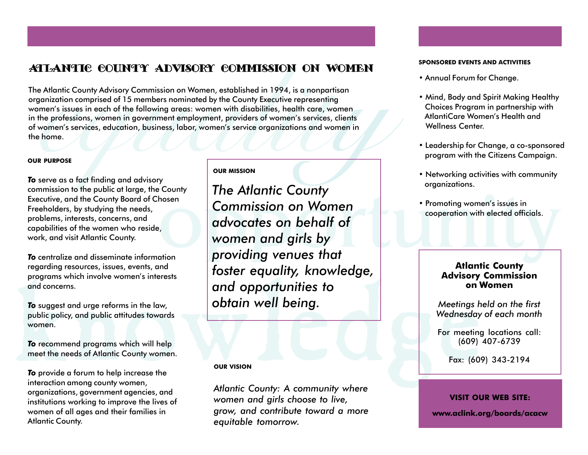## Atlantic County Advisory Commission on Women **SPONSORED EVENTS AND ACTIVITIES**

The Atlantic County Advisory Commission on Women, established in 1994, is a nonpartisan<br>organization comprised of 15 members nominated by the County Executive representing<br>women's issues in each of the following areas: wom

## **OUR PURPOSE**

*To* serve as a fact finding and advisory commission to the public at large, the County Executive, and the County Board of Chosen Freeholders, by studying the needs, problems, interests, concerns, and capabilities of the women who reside, work, and visit Atlantic County.

*To* centralize and disseminate information regarding resources, issues, events, and programs which involve women's interests and concerns.

*To* suggest and urge reforms in the law, public policy, and public attitudes towards women.

*To* recommend programs which will help meet the needs of Atlantic County women.

*To* provide a forum to help increase the interaction among county women, organizations, government agencies, and institutions working to improve the lives of women of all ages and their families in Atlantic County.

## **OUR MISSION**

Fraction and concerns.<br>
To suggest and urge reforms in the law,<br>
which public attitudes towards<br>
women.<br>
To recommend programs which will help<br>
meet the needs of Atlantic County women.<br>
To provide a forum to help increase Fromoting women's issues in<br>
advocates on behalf of<br>
women and girls by<br>
providing venues that *The Atlantic County Commission on Women advocates on behalf of women and girls by providing venues that foster equality, knowledge, and opportunities to obtain well being.*

## **OUR VISION**

*Atlantic County: A community where women and girls choose to live, grow, and contribute toward a more equitable tomorrow.*

- Annual Forum for Change.
- Mind, Body and Spirit Making Healthy Choices Program in partnership with AtlantiCare Women's Health and Wellness Center.
- Leadership for Change, a co-sponsored program with the Citizens Campaign.
- Networking activities with community organizations.
- Promoting women's issues in cooperation with elected officials.

## **Atlantic County Advisory Commission on Women**

*Meetings held on the first Wednesday of each month*

For meeting locations call: (609) 407-6739

Fax: (609) 343-2194

## **VISIT OUR WEB SITE:**

**www.aclink.org/boards/acacw**